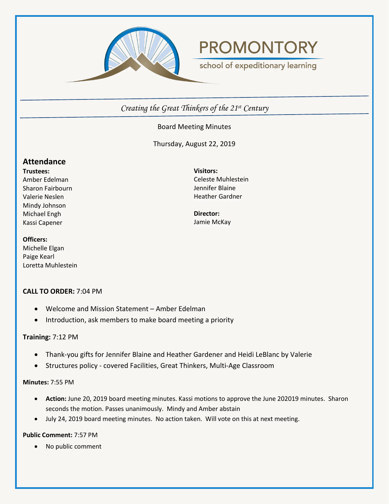

# **PROMONTORY**

school of expeditionary learning

*Creating the Great Thinkers of the 21st Century*

# Board Meeting Minutes

Thursday, August 22, 2019

# **Attendance**

**Trustees:** Amber Edelman Sharon Fairbourn Valerie Neslen Mindy Johnson Michael Engh Kassi Capener

#### **Officers:**

Michelle Elgan Paige Kearl Loretta Muhlestein

# **CALL TO ORDER:** 7:04 PM

- Welcome and Mission Statement Amber Edelman
- Introduction, ask members to make board meeting a priority

# **Training:** 7:12 PM

- Thank-you gifts for Jennifer Blaine and Heather Gardener and Heidi LeBlanc by Valerie
- Structures policy covered Facilities, Great Thinkers, Multi-Age Classroom

# **Minutes:** 7:55 PM

- **Action:** June 20, 2019 board meeting minutes. Kassi motions to approve the June 202019 minutes. Sharon seconds the motion. Passes unanimously. Mindy and Amber abstain
- July 24, 2019 board meeting minutes. No action taken. Will vote on this at next meeting.

# **Public Comment:** 7:57 PM

• No public comment

**Visitors:** Celeste Muhlestein Jennifer Blaine Heather Gardner

**Director:** Jamie McKay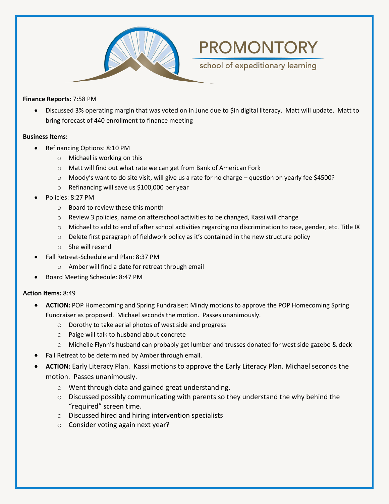

#### **Finance Reports:** 7:58 PM

• Discussed 3% operating margin that was voted on in June due to \$in digital literacy. Matt will update. Matt to bring forecast of 440 enrollment to finance meeting

**PROMONTORY** 

school of expeditionary learning

#### **Business Items:**

- Refinancing Options: 8:10 PM
	- o Michael is working on this
	- o Matt will find out what rate we can get from Bank of American Fork
	- $\circ$  Moody's want to do site visit, will give us a rate for no charge question on yearly fee \$4500?
	- o Refinancing will save us \$100,000 per year
- Policies: 8:27 PM
	- o Board to review these this month
	- $\circ$  Review 3 policies, name on afterschool activities to be changed, Kassi will change
	- o Michael to add to end of after school activities regarding no discrimination to race, gender, etc. Title IX
	- o Delete first paragraph of fieldwork policy as it's contained in the new structure policy
	- o She will resend
- Fall Retreat-Schedule and Plan: 8:37 PM
	- o Amber will find a date for retreat through email
- Board Meeting Schedule: 8:47 PM

#### **Action Items:** 8:49

- **ACTION:** POP Homecoming and Spring Fundraiser: Mindy motions to approve the POP Homecoming Spring Fundraiser as proposed. Michael seconds the motion. Passes unanimously.
	- o Dorothy to take aerial photos of west side and progress
	- o Paige will talk to husband about concrete
	- o Michelle Flynn's husband can probably get lumber and trusses donated for west side gazebo & deck
- Fall Retreat to be determined by Amber through email.
- **ACTION:** Early Literacy Plan. Kassi motions to approve the Early Literacy Plan. Michael seconds the motion. Passes unanimously.
	- o Went through data and gained great understanding.
	- $\circ$  Discussed possibly communicating with parents so they understand the why behind the "required" screen time.
	- o Discussed hired and hiring intervention specialists
	- o Consider voting again next year?